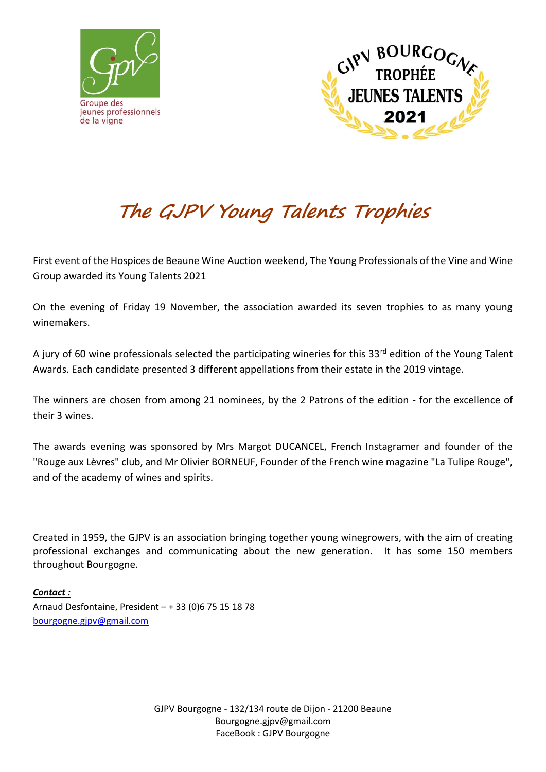



## **The GJPV Young Talents Trophies**

First event of the Hospices de Beaune Wine Auction weekend, The Young Professionals of the Vine and Wine Group awarded its Young Talents 2021

On the evening of Friday 19 November, the association awarded its seven trophies to as many young winemakers.

A jury of 60 wine professionals selected the participating wineries for this 33rd edition of the Young Talent Awards. Each candidate presented 3 different appellations from their estate in the 2019 vintage.

The winners are chosen from among 21 nominees, by the 2 Patrons of the edition - for the excellence of their 3 wines.

The awards evening was sponsored by Mrs Margot DUCANCEL, French Instagramer and founder of the "Rouge aux Lèvres" club, and Mr Olivier BORNEUF, Founder of the French wine magazine "La Tulipe Rouge", and of the academy of wines and spirits.

Created in 1959, the GJPV is an association bringing together young winegrowers, with the aim of creating professional exchanges and communicating about the new generation. It has some 150 members throughout Bourgogne.

*Contact :* Arnaud Desfontaine, President – + 33 (0)6 75 15 18 78 [bourgogne.gjpv@gmail.com](mailto:bourgogne.gjpv@gmail.com)

> GJPV Bourgogne - 132/134 route de Dijon - 21200 Beaune [Bourgogne.gjpv@gmail.com](mailto:Bourgogne.gjpv@gmail.com) FaceBook : GJPV Bourgogne